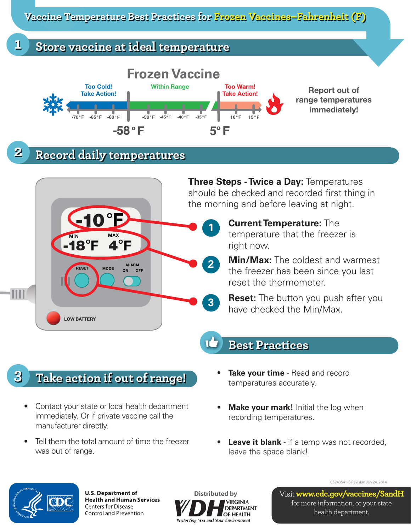**Vaccine Temperature Best Practices for Frozen Vaccines–Fahrenheit (F)**

## **1 Store vaccine at ideal temperature**



# **2 Record daily temperatures**



# **3 Take action if out of range!**

- Contact your state or local health department immediately. Or if private vaccine call the manufacturer directly.
- Tell them the total amount of time the freezer was out of range.
- **Take your time** Read and record temperatures accurately.
- **Make your mark!** Initial the log when recording temperatures.
- **Leave it blank** if a temp was not recorded, leave the space blank!



**U.S. Department of Health and Human Services Centers for Disease** Control and Prevention



CS243541-B Revision Jan 24, 2014

Visit **www.cdc.gov/vaccines/SandH** for more information, or your state health department.